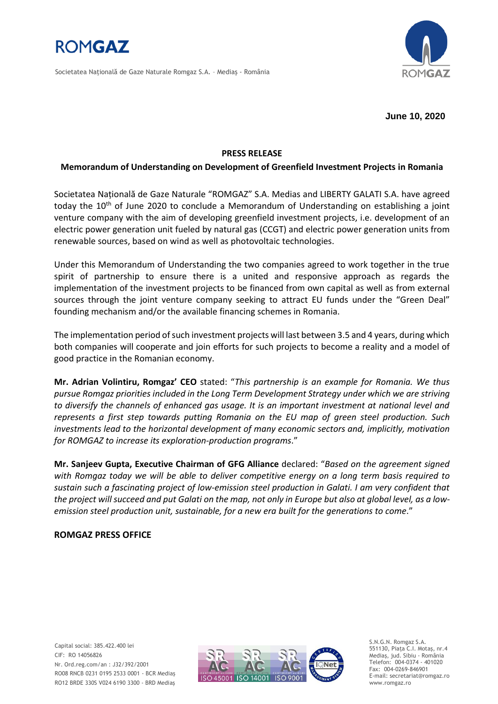

Societatea Naţională de Gaze Naturale Romgaz S.A. – Mediaş - România



**June 10, 2020**

# **PRESS RELEASE**

## **Memorandum of Understanding on Development of Greenfield Investment Projects in Romania**

Societatea Națională de Gaze Naturale "ROMGAZ" S.A. Medias and LIBERTY GALATI S.A. have agreed today the  $10<sup>th</sup>$  of June 2020 to conclude a Memorandum of Understanding on establishing a joint venture company with the aim of developing greenfield investment projects, i.e. development of an electric power generation unit fueled by natural gas (CCGT) and electric power generation units from renewable sources, based on wind as well as photovoltaic technologies.

Under this Memorandum of Understanding the two companies agreed to work together in the true spirit of partnership to ensure there is a united and responsive approach as regards the implementation of the investment projects to be financed from own capital as well as from external sources through the joint venture company seeking to attract EU funds under the "Green Deal" founding mechanism and/or the available financing schemes in Romania.

The implementation period of such investment projects will last between 3.5 and 4 years, during which both companies will cooperate and join efforts for such projects to become a reality and a model of good practice in the Romanian economy.

**Mr. Adrian Volintiru, Romgaz' CEO** stated: "*This partnership is an example for Romania. We thus pursue Romgaz priorities included in the Long Term Development Strategy under which we are striving to diversify the channels of enhanced gas usage. It is an important investment at national level and represents a first step towards putting Romania on the EU map of green steel production. Such investments lead to the horizontal development of many economic sectors and, implicitly, motivation for ROMGAZ to increase its exploration-production programs*."

**Mr. Sanjeev Gupta, Executive Chairman of GFG Alliance** declared: "*Based on the agreement signed with Romgaz today we will be able to deliver competitive energy on a long term basis required to sustain such a fascinating project of low-emission steel production in Galati. I am very confident that the project will succeed and put Galati on the map, not only in Europe but also at global level, as a lowemission steel production unit, sustainable, for a new era built for the generations to come*."

## **ROMGAZ PRESS OFFICE**

Capital social: 385.422.400 lei CIF: RO 14056826 Nr. Ord.reg.com/an : J32/392/2001 RO08 RNCB 0231 0195 2533 0001 - BCR Mediaş RO12 BRDE 330S V024 6190 3300 - BRD Mediaş



S.N.G.N. Romgaz S.A. 551130, Piața C.I. Motaş, nr.4 Mediaş, jud. Sibiu - România Telefon: 004-0374 - 401020 Fax: 004-0269-846901 E-mail: secretariat@romgaz.ro www.romgaz.ro